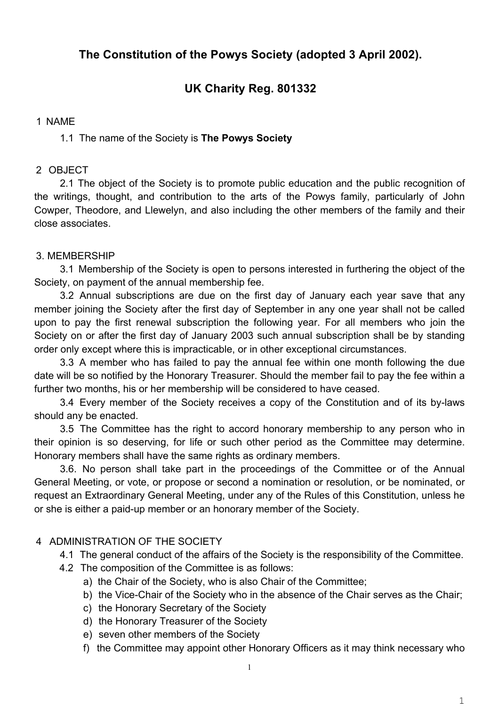# **The Constitution of the Powys Society (adopted 3 April 2002).**

# **UK Charity Reg. 801332**

### 1 NAME

## 1.1 The name of the Society is **The Powys Society**

### 2 OBJECT

2.1 The object of the Society is to promote public education and the public recognition of the writings, thought, and contribution to the arts of the Powys family, particularly of John Cowper, Theodore, and Llewelyn, and also including the other members of the family and their close associates.

## 3. MEMBERSHIP

3.1 Membership of the Society is open to persons interested in furthering the object of the Society, on payment of the annual membership fee.

3.2 Annual subscriptions are due on the first day of January each year save that any member joining the Society after the first day of September in any one year shall not be called upon to pay the first renewal subscription the following year. For all members who join the Society on or after the first day of January 2003 such annual subscription shall be by standing order only except where this is impracticable, or in other exceptional circumstances.

3.3 A member who has failed to pay the annual fee within one month following the due date will be so notified by the Honorary Treasurer. Should the member fail to pay the fee within a further two months, his or her membership will be considered to have ceased.

3.4 Every member of the Society receives a copy of the Constitution and of its by-laws should any be enacted.

3.5 The Committee has the right to accord honorary membership to any person who in their opinion is so deserving, for life or such other period as the Committee may determine. Honorary members shall have the same rights as ordinary members.

3.6. No person shall take part in the proceedings of the Committee or of the Annual General Meeting, or vote, or propose or second a nomination or resolution, or be nominated, or request an Extraordinary General Meeting, under any of the Rules of this Constitution, unless he or she is either a paid-up member or an honorary member of the Society.

## 4 ADMINISTRATION OF THE SOCIETY

- 4.1 The general conduct of the affairs of the Society is the responsibility of the Committee.
- 4.2 The composition of the Committee is as follows:
	- a) the Chair of the Society, who is also Chair of the Committee;
	- b) the Vice-Chair of the Society who in the absence of the Chair serves as the Chair;
	- c) the Honorary Secretary of the Society
	- d) the Honorary Treasurer of the Society
	- e) seven other members of the Society
	- f) the Committee may appoint other Honorary Officers as it may think necessary who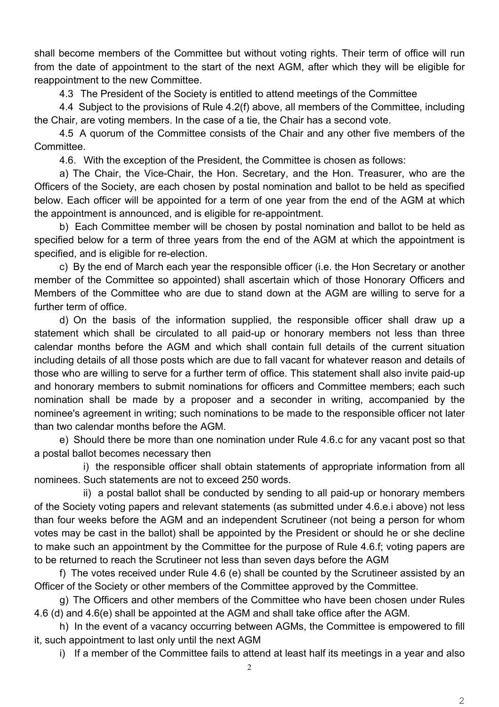shall become members of the Committee but without voting rights. Their term of office will run from the date of appointment to the start of the next AGM, after which they will be eligible for reappointment to the new Committee.

4.3 The President of the Society is entitled to attend meetings of the Committee

4.4 Subject to the provisions of Rule 4.2(f) above, all members of the Committee, including the Chair, are voting members. In the case of a tie, the Chair has a second vote.

4.5 A quorum of the Committee consists of the Chair and any other five members of the Committee.

4.6. With the exception of the President, the Committee is chosen as follows:

a) The Chair, the Vice-Chair, the Hon. Secretary, and the Hon. Treasurer, who are the Officers of the Society, are each chosen by postal nomination and ballot to be held as specified below. Each officer will be appointed for a term of one year from the end of the AGM at which the appointment is announced, and is eligible for re-appointment.

b) Each Committee member will be chosen by postal nomination and ballot to be held as specified below for a term of three years from the end of the AGM at which the appointment is specified, and is eligible for re-election.

c) By the end of March each year the responsible officer (i.e. the Hon Secretary or another member of the Committee so appointed) shall ascertain which of those Honorary Officers and Members of the Committee who are due to stand down at the AGM are willing to serve for a further term of office.

d) On the basis of the information supplied, the responsible officer shall draw up a statement which shall be circulated to all paid-up or honorary members not less than three calendar months before the AGM and which shall contain full details of the current situation including details of all those posts which are due to fall vacant for whatever reason and details of those who are willing to serve for a further term of office. This statement shall also invite paid-up and honorary members to submit nominations for officers and Committee members; each such nomination shall be made by a proposer and a seconder in writing, accompanied by the nominee's agreement in writing; such nominations to be made to the responsible officer not later than two calendar months before the AGM.

e) Should there be more than one nomination under Rule 4.6.c for any vacant post so that a postal ballot becomes necessary then

i) the responsible officer shall obtain statements of appropriate information from all nominees. Such statements are not to exceed 250 words.

ii) a postal ballot shall be conducted by sending to all paid-up or honorary members of the Society voting papers and relevant statements (as submitted under 4.6.e.i above) not less than four weeks before the AGM and an independent Scrutineer (not being a person for whom votes may be cast in the ballot) shall be appointed by the President or should he or she decline to make such an appointment by the Committee for the purpose of Rule 4.6.f; voting papers are to be returned to reach the Scrutineer not less than seven days before the AGM

f) The votes received under Rule 4.6 (e) shall be counted by the Scrutineer assisted by an Officer of the Society or other members of the Committee approved by the Committee.

g) The Officers and other members of the Committee who have been chosen under Rules 4.6 (d) and 4.6(e) shall be appointed at the AGM and shall take office after the AGM.

h) In the event of a vacancy occurring between AGMs, the Committee is empowered to fill it, such appointment to last only until the next AGM

i) If a member of the Committee fails to attend at least half its meetings in a year and also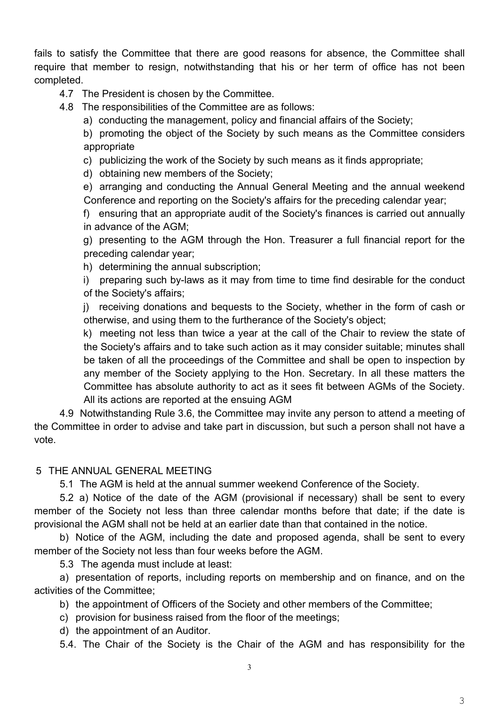fails to satisfy the Committee that there are good reasons for absence, the Committee shall require that member to resign, notwithstanding that his or her term of office has not been completed.

# 4.7 The President is chosen by the Committee.

4.8 The responsibilities of the Committee are as follows:

a) conducting the management, policy and financial affairs of the Society;

b) promoting the object of the Society by such means as the Committee considers appropriate

c) publicizing the work of the Society by such means as it finds appropriate;

d) obtaining new members of the Society;

e) arranging and conducting the Annual General Meeting and the annual weekend Conference and reporting on the Society's affairs for the preceding calendar year;

f) ensuring that an appropriate audit of the Society's finances is carried out annually in advance of the AGM;

g) presenting to the AGM through the Hon. Treasurer a full financial report for the preceding calendar year;

h) determining the annual subscription;

i) preparing such by-laws as it may from time to time find desirable for the conduct of the Society's affairs;

j) receiving donations and bequests to the Society, whether in the form of cash or otherwise, and using them to the furtherance of the Society's object;

k) meeting not less than twice a year at the call of the Chair to review the state of the Society's affairs and to take such action as it may consider suitable; minutes shall be taken of all the proceedings of the Committee and shall be open to inspection by any member of the Society applying to the Hon. Secretary. In all these matters the Committee has absolute authority to act as it sees fit between AGMs of the Society. All its actions are reported at the ensuing AGM

4.9 Notwithstanding Rule 3.6, the Committee may invite any person to attend a meeting of the Committee in order to advise and take part in discussion, but such a person shall not have a vote.

# 5 THE ANNUAL GENERAL MEETING

5.1 The AGM is held at the annual summer weekend Conference of the Society.

5.2 a) Notice of the date of the AGM (provisional if necessary) shall be sent to every member of the Society not less than three calendar months before that date; if the date is provisional the AGM shall not be held at an earlier date than that contained in the notice.

b) Notice of the AGM, including the date and proposed agenda, shall be sent to every member of the Society not less than four weeks before the AGM.

5.3 The agenda must include at least:

a) presentation of reports, including reports on membership and on finance, and on the activities of the Committee;

b) the appointment of Officers of the Society and other members of the Committee;

c) provision for business raised from the floor of the meetings;

d) the appointment of an Auditor.

5.4. The Chair of the Society is the Chair of the AGM and has responsibility for the